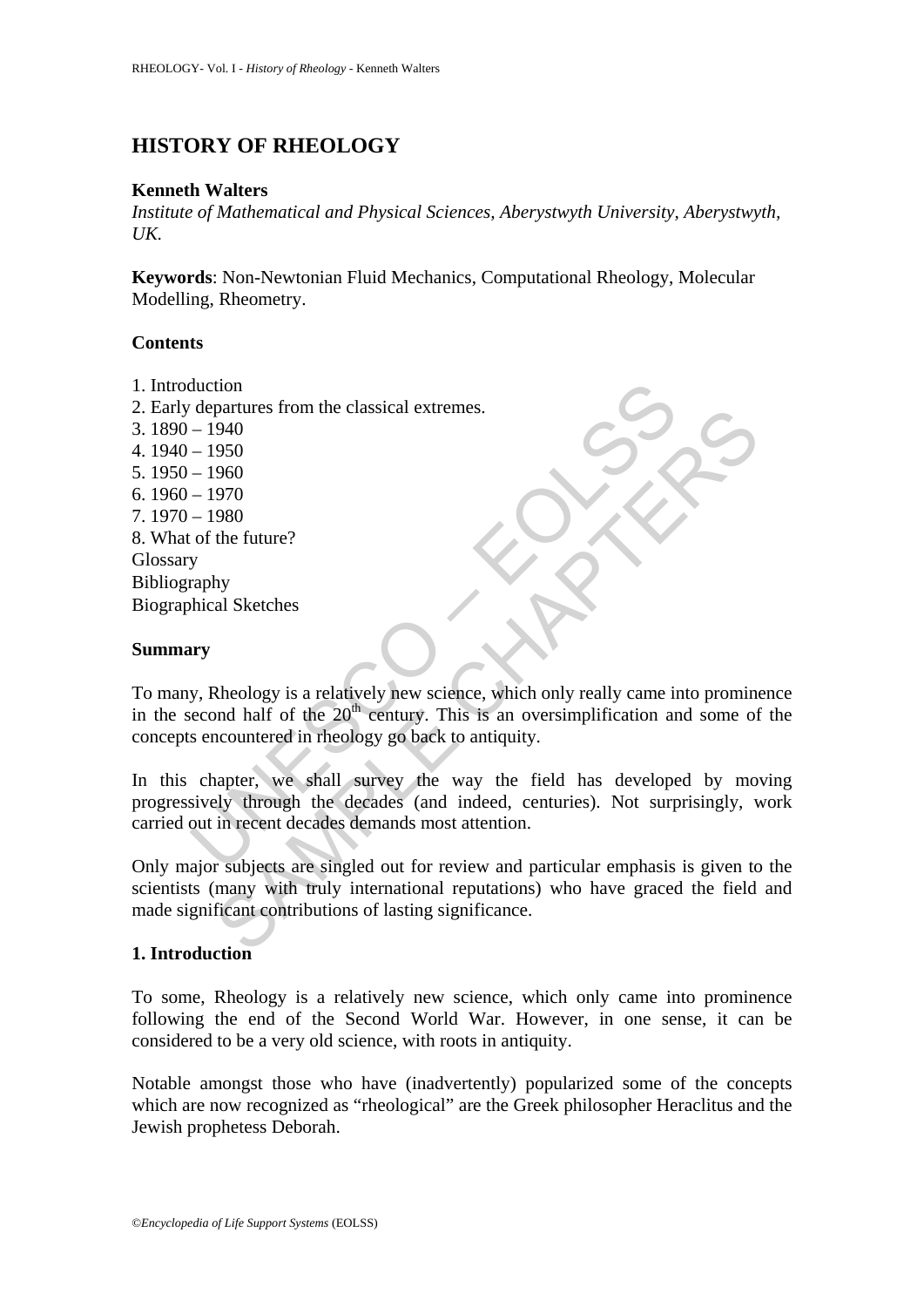# **HISTORY OF RHEOLOGY**

#### **Kenneth Walters**

*Institute of Mathematical and Physical Sciences, Aberystwyth University, Aberystwyth,*   $UK$ 

**Keywords**: Non-Newtonian Fluid Mechanics, Computational Rheology, Molecular Modelling, Rheometry.

#### **Contents**

- 1. Introduction
- 2. Early departures from the classical extremes.
- 3. 1890 1940
- 4. 1940 1950
- 5. 1950 1960
- 6. 1960 1970
- 7. 1970 1980
- 8. What of the future?
- Glossary
- Bibliography

Biographical Sketches

#### **Summary**

To many, Rheology is a relatively new science, which only really came into prominence in the second half of the  $20<sup>th</sup>$  century. This is an oversimplification and some of the concepts encountered in rheology go back to antiquity.

divariant<br>
departures from the classical extremes.<br>  $-1940$ <br>  $-1940$ <br>  $-1950$ <br>  $-1960$ <br>  $-1970$ <br>  $-1980$ <br>
of the future?<br>
y<br>
y, Rheology is a relatively new science, which only really came in<br>
wry<br>
y, Rheology is a relati partures from the classical extremes.<br>
940<br>
960<br>
960<br>
980<br>
the future?<br>
Ny<br>
980<br>
the future?<br>
Ny<br>
880<br>
al Sketches<br>
Aheology is a relatively new science, which only really came into promin<br>
and half of the 20<sup>th</sup> eentury. In this chapter, we shall survey the way the field has developed by moving progressively through the decades (and indeed, centuries). Not surprisingly, work carried out in recent decades demands most attention.

Only major subjects are singled out for review and particular emphasis is given to the scientists (many with truly international reputations) who have graced the field and made significant contributions of lasting significance.

### **1. Introduction**

To some, Rheology is a relatively new science, which only came into prominence following the end of the Second World War. However, in one sense, it can be considered to be a very old science, with roots in antiquity.

Notable amongst those who have (inadvertently) popularized some of the concepts which are now recognized as "rheological" are the Greek philosopher Heraclitus and the Jewish prophetess Deborah.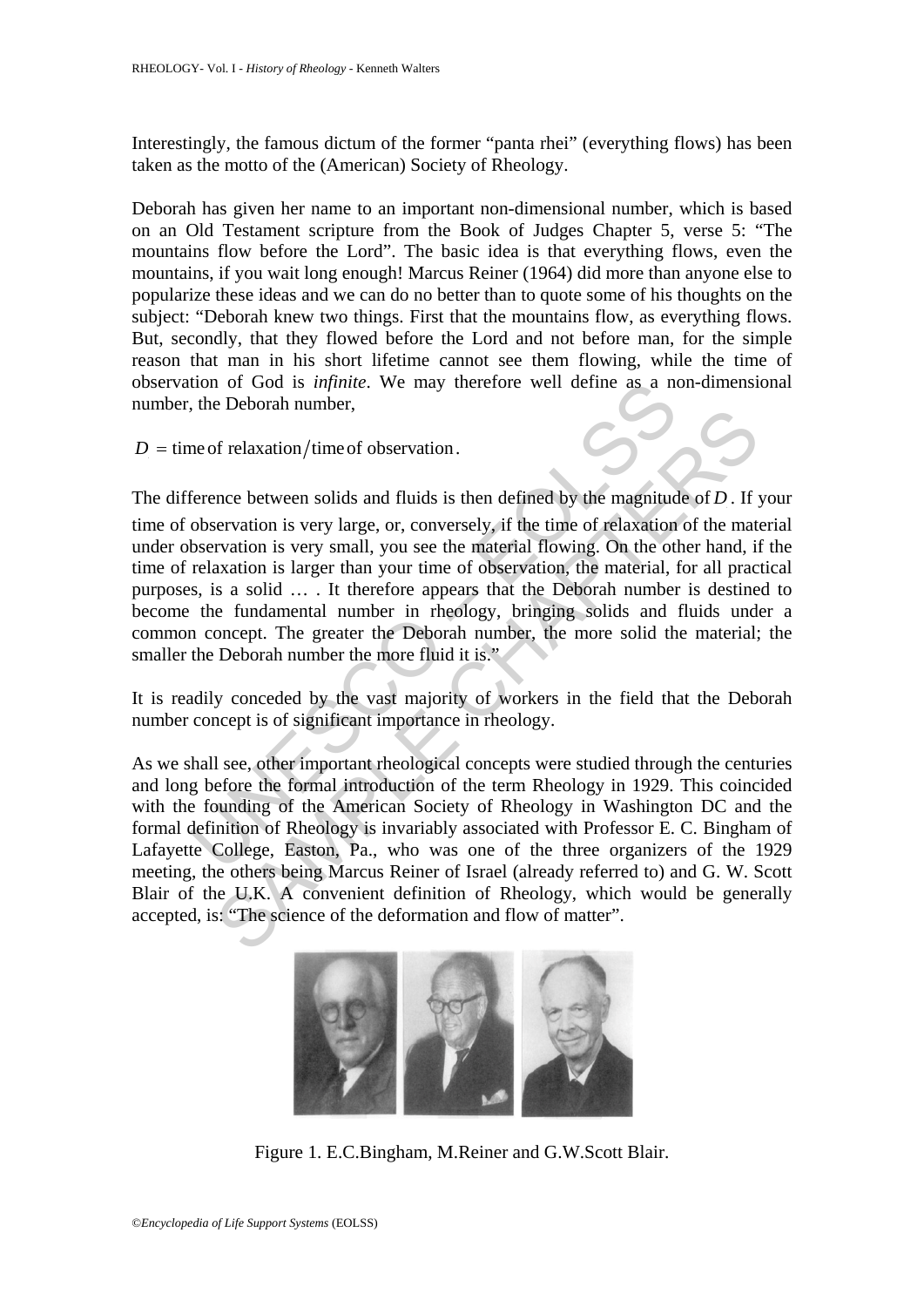Interestingly, the famous dictum of the former "panta rhei" (everything flows) has been taken as the motto of the (American) Society of Rheology.

Deborah has given her name to an important non-dimensional number, which is based on an Old Testament scripture from the Book of Judges Chapter 5, verse 5: "The mountains flow before the Lord". The basic idea is that everything flows, even the mountains, if you wait long enough! Marcus Reiner (1964) did more than anyone else to popularize these ideas and we can do no better than to quote some of his thoughts on the subject: "Deborah knew two things. First that the mountains flow, as everything flows. But, secondly, that they flowed before the Lord and not before man, for the simple reason that man in his short lifetime cannot see them flowing, while the time of observation of God is *infinite*. We may therefore well define as a non-dimensional number, the Deborah number,

 $D =$  time of relaxation/time of observation.

tion of God is *infinite*. We may therefore well define as a not the Deborah number,<br>the Deborah number,<br>me of relaxation/time of observation.<br>ference between solids and fluids is then defined by the magnitud<br>observation i of relaxation/time of observation.<br>
the electroman namoc,<br>
the magnitude of *D*. If rervation is very large, or, conversely, if the time of relaxation of the mata<br>
rvation is very small, you see the material flowing. On t The difference between solids and fluids is then defined by the magnitude of *D*. If your time of observation is very large, or, conversely, if the time of relaxation of the material under observation is very small, you see the material flowing. On the other hand, if the time of relaxation is larger than your time of observation, the material, for all practical purposes, is a solid … . It therefore appears that the Deborah number is destined to become the fundamental number in rheology, bringing solids and fluids under a common concept. The greater the Deborah number, the more solid the material; the smaller the Deborah number the more fluid it is."

It is readily conceded by the vast majority of workers in the field that the Deborah number concept is of significant importance in rheology.

As we shall see, other important rheological concepts were studied through the centuries and long before the formal introduction of the term Rheology in 1929. This coincided with the founding of the American Society of Rheology in Washington DC and the formal definition of Rheology is invariably associated with Professor E. C. Bingham of Lafayette College, Easton, Pa., who was one of the three organizers of the 1929 meeting, the others being Marcus Reiner of Israel (already referred to) and G. W. Scott Blair of the U.K. A convenient definition of Rheology, which would be generally accepted, is: "The science of the deformation and flow of matter".



Figure 1. E.C.Bingham, M.Reiner and G.W.Scott Blair.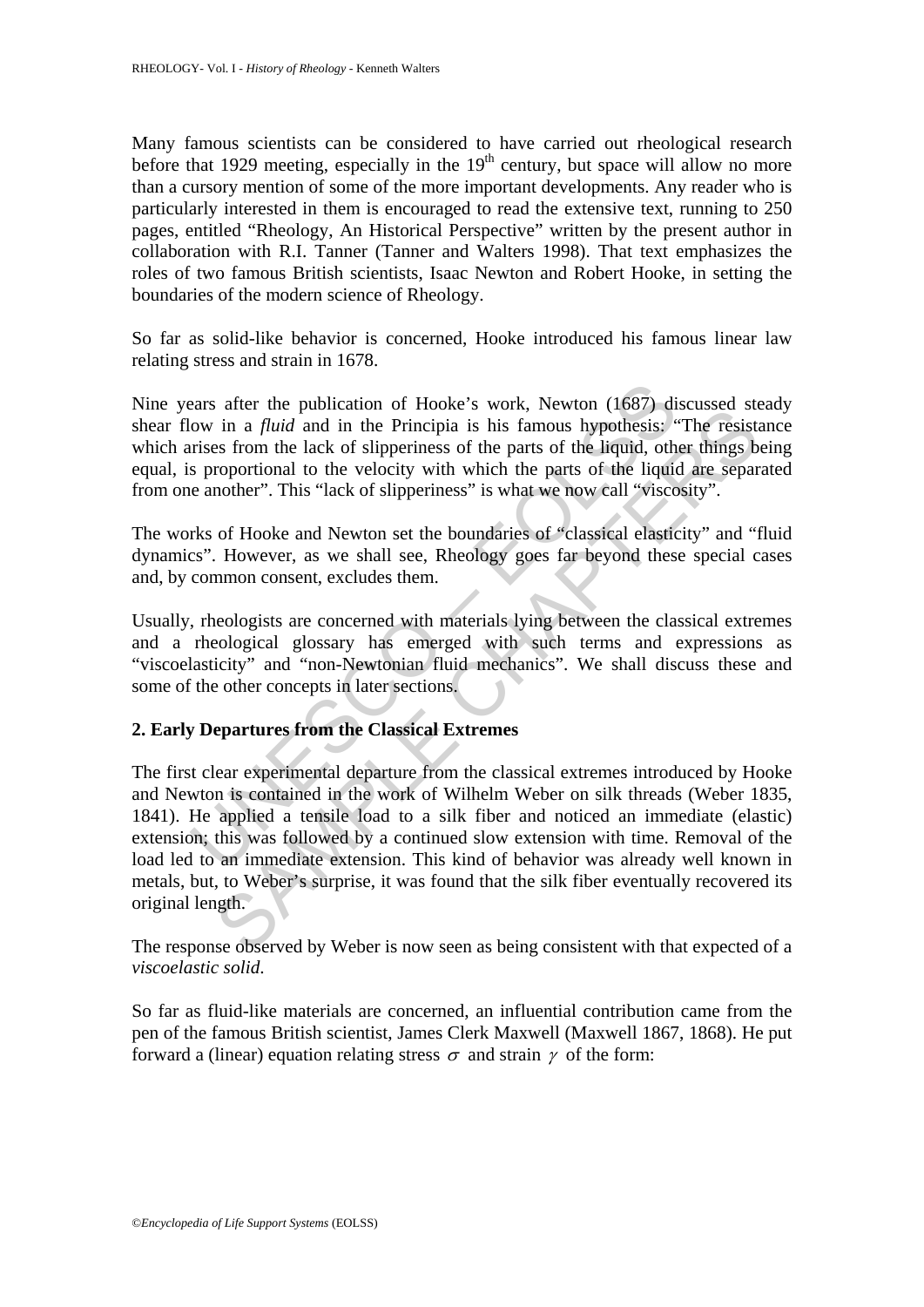Many famous scientists can be considered to have carried out rheological research before that 1929 meeting, especially in the  $19<sup>th</sup>$  century, but space will allow no more than a cursory mention of some of the more important developments. Any reader who is particularly interested in them is encouraged to read the extensive text, running to 250 pages, entitled "Rheology, An Historical Perspective" written by the present author in collaboration with R.I. Tanner (Tanner and Walters 1998). That text emphasizes the roles of two famous British scientists, Isaac Newton and Robert Hooke, in setting the boundaries of the modern science of Rheology.

So far as solid-like behavior is concerned, Hooke introduced his famous linear law relating stress and strain in 1678.

Nine years after the publication of Hooke's work, Newton (1687) discussed steady shear flow in a *fluid* and in the Principia is his famous hypothesis: "The resistance which arises from the lack of slipperiness of the parts of the liquid, other things being equal, is proportional to the velocity with which the parts of the liquid are separated from one another". This "lack of slipperiness" is what we now call "viscosity".

The works of Hooke and Newton set the boundaries of "classical elasticity" and "fluid dynamics". However, as we shall see, Rheology goes far beyond these special cases and, by common consent, excludes them.

Usually, rheologists are concerned with materials lying between the classical extremes and a rheological glossary has emerged with such terms and expressions as "viscoelasticity" and "non-Newtonian fluid mechanics". We shall discuss these and some of the other concepts in later sections.

### **2. Early Departures from the Classical Extremes**

ears after the publication of Hooke's work, Newton (1687) di<br>ow in a *fluid* and in the Principia is his famous hypothesis; "<br>trises from the lack of slipperiness of the parts of the liquid, oth<br>s proportional to the veloc and the Principlia is his famous hypothesis; "The resistance and in a *fluid* and in the Principia is his famous hypothesis; "The resistes from the lack of slipperiness of the parts of the liquid, other things b roportion The first clear experimental departure from the classical extremes introduced by Hooke and Newton is contained in the work of Wilhelm Weber on silk threads (Weber 1835, 1841). He applied a tensile load to a silk fiber and noticed an immediate (elastic) extension; this was followed by a continued slow extension with time. Removal of the load led to an immediate extension. This kind of behavior was already well known in metals, but, to Weber's surprise, it was found that the silk fiber eventually recovered its original length.

The response observed by Weber is now seen as being consistent with that expected of a *viscoelastic solid*.

So far as fluid-like materials are concerned, an influential contribution came from the pen of the famous British scientist, James Clerk Maxwell (Maxwell 1867, 1868). He put forward a (linear) equation relating stress  $\sigma$  and strain  $\gamma$  of the form: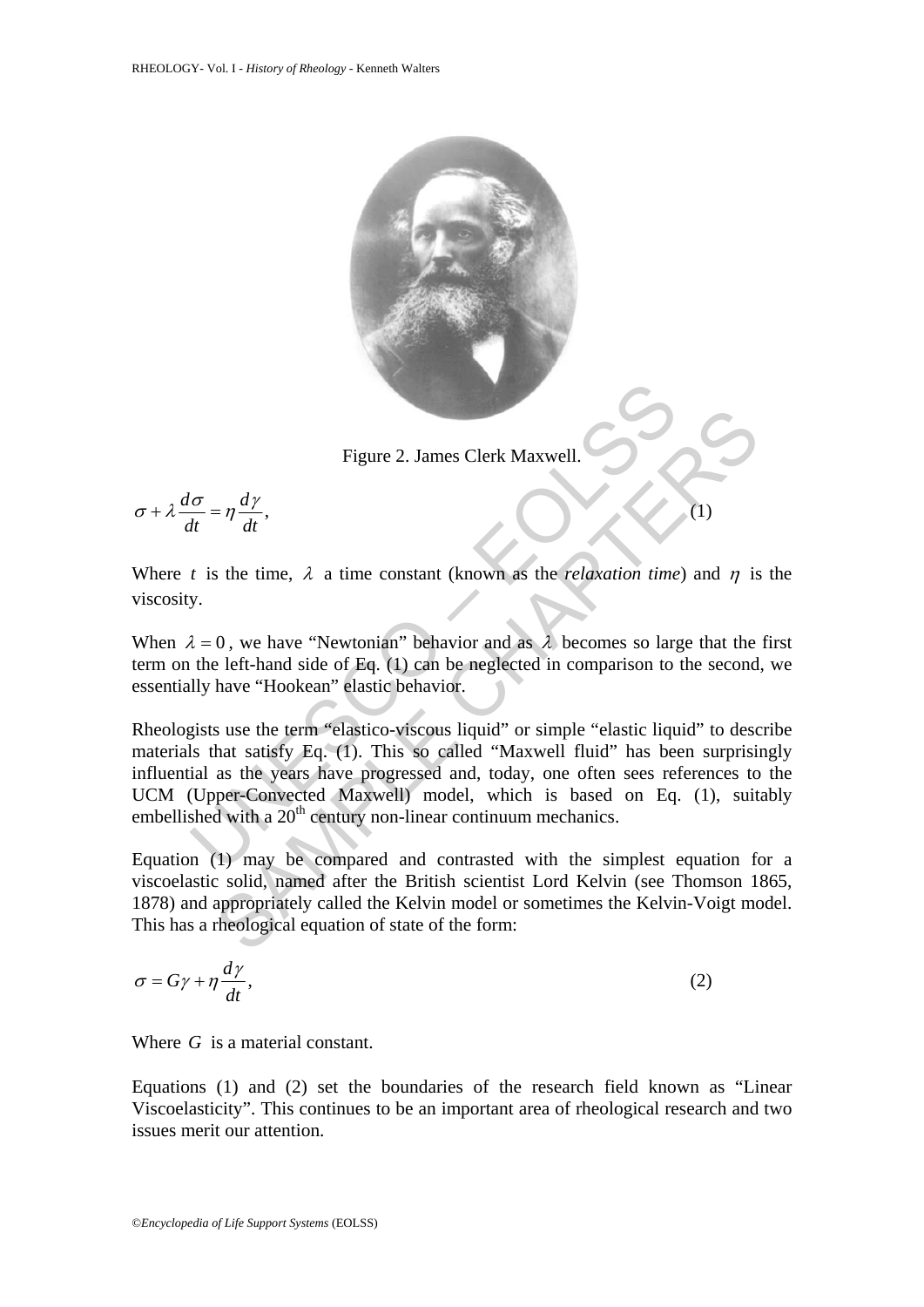

Figure 2. James Clerk Maxwell.

$$
\sigma + \lambda \frac{d\sigma}{dt} = \eta \frac{d\gamma}{dt},\tag{1}
$$

Where *t* is the time,  $\lambda$  a time constant (known as the *relaxation time*) and  $\eta$  is the viscosity.

When  $\lambda = 0$ , we have "Newtonian" behavior and as  $\lambda$  becomes so large that the first term on the left-hand side of Eq. (1) can be neglected in comparison to the second, we essentially have "Hookean" elastic behavior.

Figure 2. James Clerk Maxwell.<br>  $\frac{\partial}{\partial t} = \eta \frac{dy}{dt}$ ,<br>
t is the time,  $\lambda$  a time constant (known as the *relaxation time*<br>
y.<br>  $\lambda = 0$ , we have "Newtonian" behavior and as  $\lambda$  becomes so large<br>
the left-hand side of Eq Figure 2. James Clerk Maxwell.<br>  $= \eta \frac{dy}{dt}$ ,<br>
S the time,  $\lambda$  a time constant (known as the *relaxation time)* and  $\eta$  is<br>
0, we have "Newtonian" behavior and as  $\lambda$  becomes so large that the<br>
left-hand side of Eq. (1 Rheologists use the term "elastico-viscous liquid" or simple "elastic liquid" to describe materials that satisfy Eq. (1). This so called "Maxwell fluid" has been surprisingly influential as the years have progressed and, today, one often sees references to the UCM (Upper-Convected Maxwell) model, which is based on Eq. (1), suitably embellished with a  $20<sup>th</sup>$  century non-linear continuum mechanics.

Equation (1) may be compared and contrasted with the simplest equation for a viscoelastic solid, named after the British scientist Lord Kelvin (see Thomson 1865, 1878) and appropriately called the Kelvin model or sometimes the Kelvin-Voigt model. This has a rheological equation of state of the form:

$$
\sigma = G\gamma + \eta \frac{d\gamma}{dt},\tag{2}
$$

Where *G* is a material constant.

Equations (1) and (2) set the boundaries of the research field known as "Linear Viscoelasticity". This continues to be an important area of rheological research and two issues merit our attention.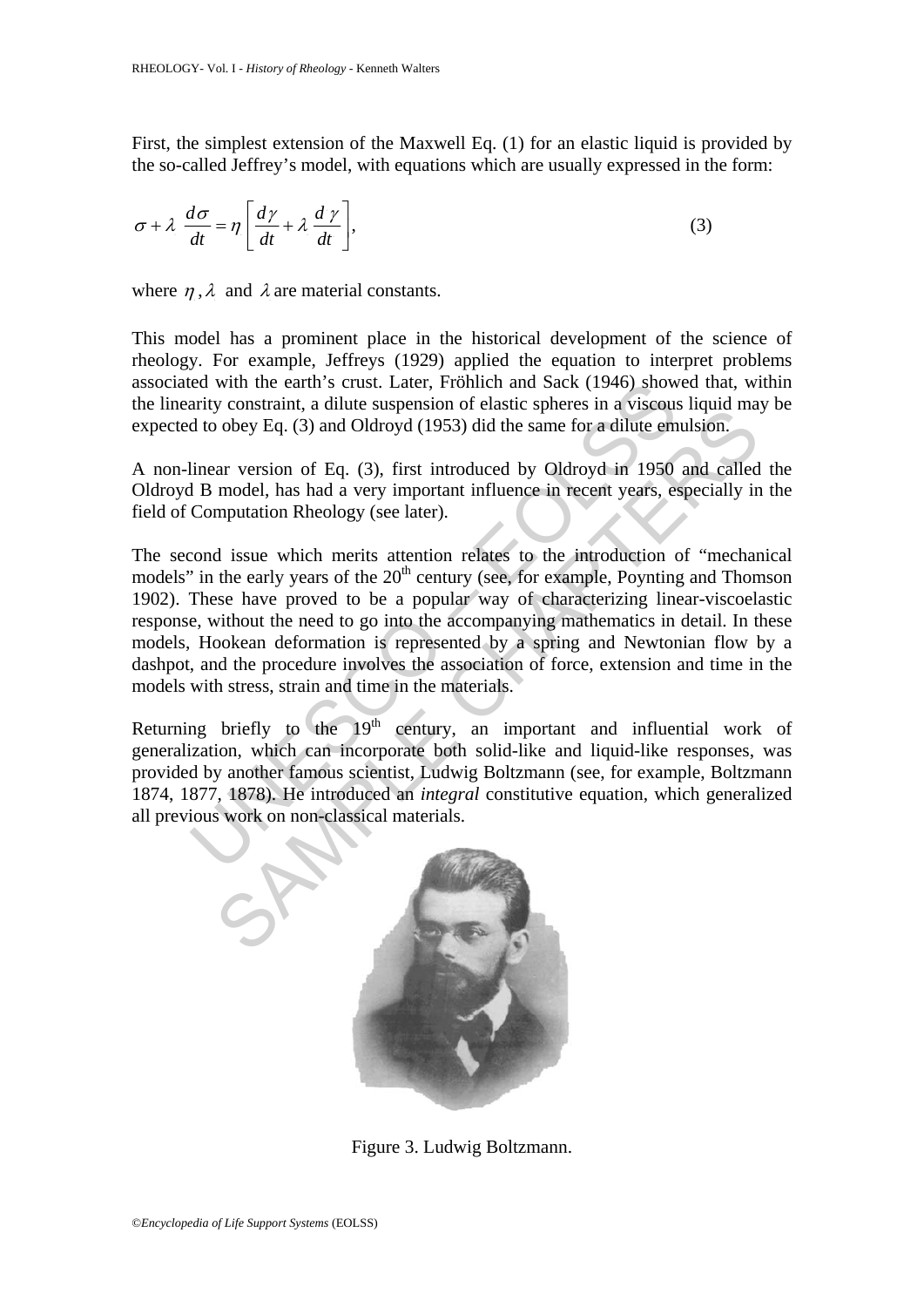First, the simplest extension of the Maxwell Eq. (1) for an elastic liquid is provided by the so-called Jeffrey's model, with equations which are usually expressed in the form:

$$
\sigma + \lambda \frac{d\sigma}{dt} = \eta \left[ \frac{d\gamma}{dt} + \lambda \frac{d\gamma}{dt} \right],
$$
\n(3)

where  $\eta$ ,  $\lambda$  and  $\lambda$  are material constants.

This model has a prominent place in the historical development of the science of rheology. For example, Jeffreys (1929) applied the equation to interpret problems associated with the earth's crust. Later, Fröhlich and Sack (1946) showed that, within the linearity constraint, a dilute suspension of elastic spheres in a viscous liquid may be expected to obey Eq. (3) and Oldroyd (1953) did the same for a dilute emulsion.

A non-linear version of Eq. (3), first introduced by Oldroyd in 1950 and called the Oldroyd B model, has had a very important influence in recent years, especially in the field of Computation Rheology (see later).

ed with the earth's crust. Later, Frohlich and Sack (1946) show<br>arity constraint, a dilute suspension of elastic spheres in a viscous<br>d to obey Eq. (3) and Oldroyd (1953) did the same for a dilute em<br>linear version of Eq. From the angular superistion of classe spinces in a viscous negative divided multiplion.<br>
and Oldroyd (1953) did the same for a dilute emulsion.<br>
and called model, has had a very important influence in recent years, espec The second issue which merits attention relates to the introduction of "mechanical models" in the early years of the  $20<sup>th</sup>$  century (see, for example, Poynting and Thomson 1902). These have proved to be a popular way of characterizing linear-viscoelastic response, without the need to go into the accompanying mathematics in detail. In these models, Hookean deformation is represented by a spring and Newtonian flow by a dashpot, and the procedure involves the association of force, extension and time in the models with stress, strain and time in the materials.

Returning briefly to the  $19<sup>th</sup>$  century, an important and influential work of generalization, which can incorporate both solid-like and liquid-like responses, was provided by another famous scientist, Ludwig Boltzmann (see, for example, Boltzmann 1874, 1877, 1878). He introduced an *integral* constitutive equation, which generalized all previous work on non-classical materials.



Figure 3. Ludwig Boltzmann.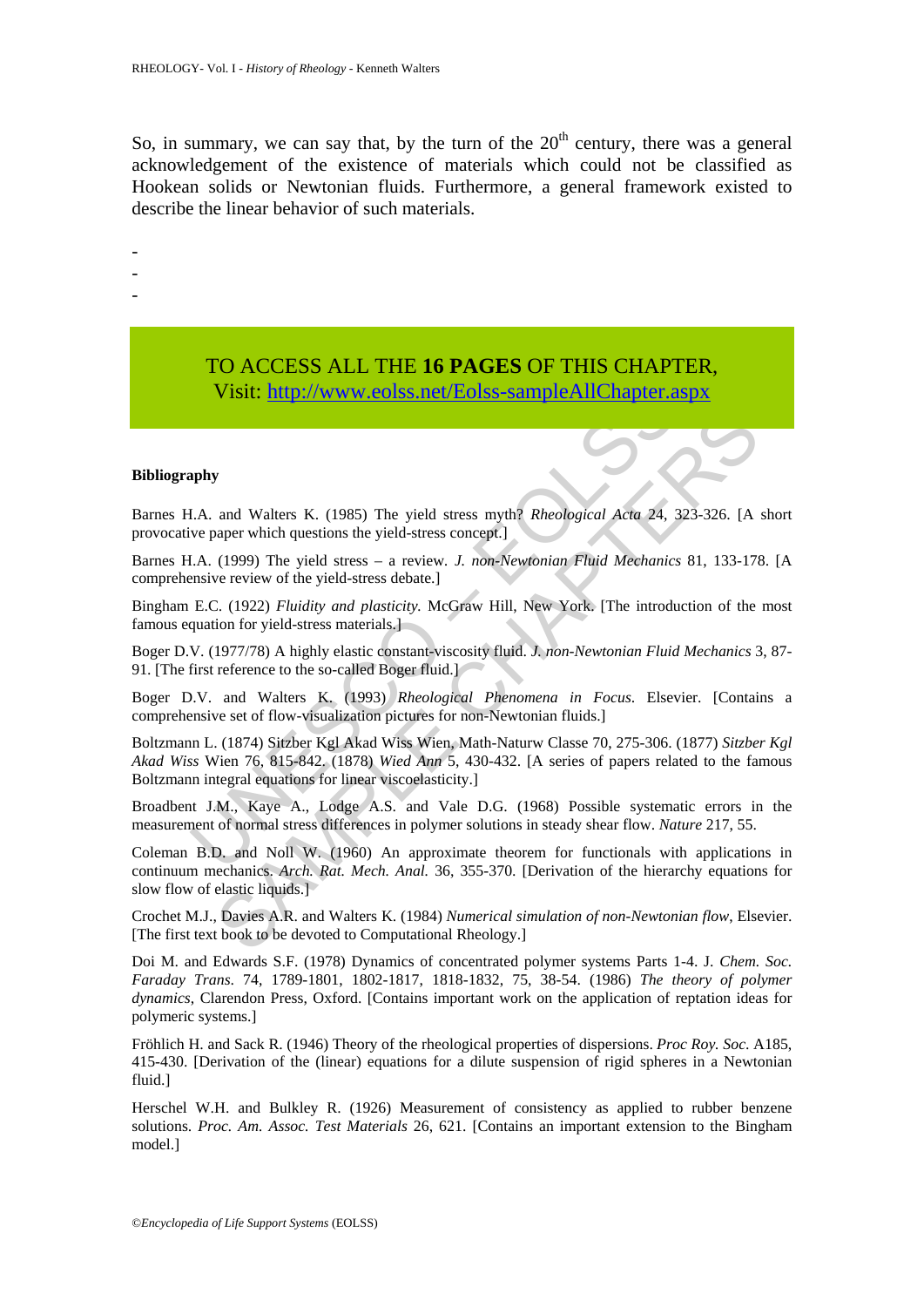So, in summary, we can say that, by the turn of the  $20<sup>th</sup>$  century, there was a general acknowledgement of the existence of materials which could not be classified as Hookean solids or Newtonian fluids. Furthermore, a general framework existed to describe the linear behavior of such materials.

-

- -
- -

## TO ACCESS ALL THE **16 PAGES** OF THIS CHAPTER, Visit: http://www.eolss.net/Eolss-sampleAllChapter.aspx

#### **Bibliography**

Barnes H.A. and Walters K. (1985) The yield stress myth? *Rheological Acta* 24, 323-326. [A short provocative paper which questions the yield-stress concept.]

Barnes H.A. (1999) The yield stress – a review*. J. non-Newtonian Fluid Mechanics* 81, 133-178. [A comprehensive review of the yield-stress debate.]

Bingham E.C. (1922) *Fluidity and plasticity.* McGraw Hill, New York. [The introduction of the most famous equation for yield-stress materials.]

Boger D.V. (1977/78) A highly elastic constant-viscosity fluid. *J. non-Newtonian Fluid Mechanics* 3, 87- 91. [The first reference to the so-called Boger fluid.]

Boger D.V. and Walters K. (1993) *Rheological Phenomena in Focus*. Elsevier. [Contains a comprehensive set of flow-visualization pictures for non-Newtonian fluids.]

Visit: http://www.eolss.net/Eolss-sampleAllChapter.a<br>
1.A. and Walters K. (1985) The yield stress myth? *Rheological Acta 24*, 2<br>
1.A. and Walters K. (1985) The yield stress concept.)<br>
1.A. (1999) The yield stress – a revi **S**<br> **SAMPLE CONSTRANT SETT CONSTRANT SET CONSTRANT CONDIGERATION**<br> **SAMPLE CONSTRANT SET CONSTRANT SET CONSTRANT SET CONSTRANT (1999) The yield stress – a review.** *J. non-Newtonian Fluid Mechanics* **81, 133-178<br>
C. (1922)** Boltzmann L. (1874) Sitzber Kgl Akad Wiss Wien, Math-Naturw Classe 70, 275-306. (1877) *Sitzber Kgl Akad Wiss* Wien 76, 815-842. (1878) *Wied Ann* 5, 430-432. [A series of papers related to the famous Boltzmann integral equations for linear viscoelasticity.]

Broadbent J.M., Kaye A., Lodge A.S. and Vale D.G. (1968) Possible systematic errors in the measurement of normal stress differences in polymer solutions in steady shear flow. *Nature* 217, 55.

Coleman B.D. and Noll W. (1960) An approximate theorem for functionals with applications in continuum mechanics. *Arch. Rat. Mech. Anal.* 36, 355-370. [Derivation of the hierarchy equations for slow flow of elastic liquids.]

Crochet M.J., Davies A.R. and Walters K. (1984) *Numerical simulation of non-Newtonian flow*, Elsevier. [The first text book to be devoted to Computational Rheology.]

Doi M. and Edwards S.F. (1978) Dynamics of concentrated polymer systems Parts 1-4. J. *Chem. Soc. Faraday Trans*. 74, 1789-1801, 1802-1817, 1818-1832, 75, 38-54. (1986) *The theory of polymer dynamics*, Clarendon Press, Oxford. [Contains important work on the application of reptation ideas for polymeric systems.]

Fröhlich H. and Sack R. (1946) Theory of the rheological properties of dispersions. *Proc Roy. Soc*. A185, 415-430. [Derivation of the (linear) equations for a dilute suspension of rigid spheres in a Newtonian fluid.]

Herschel W.H. and Bulkley R. (1926) Measurement of consistency as applied to rubber benzene solutions. *Proc. Am. Assoc. Test Materials* 26, 621. [Contains an important extension to the Bingham model.]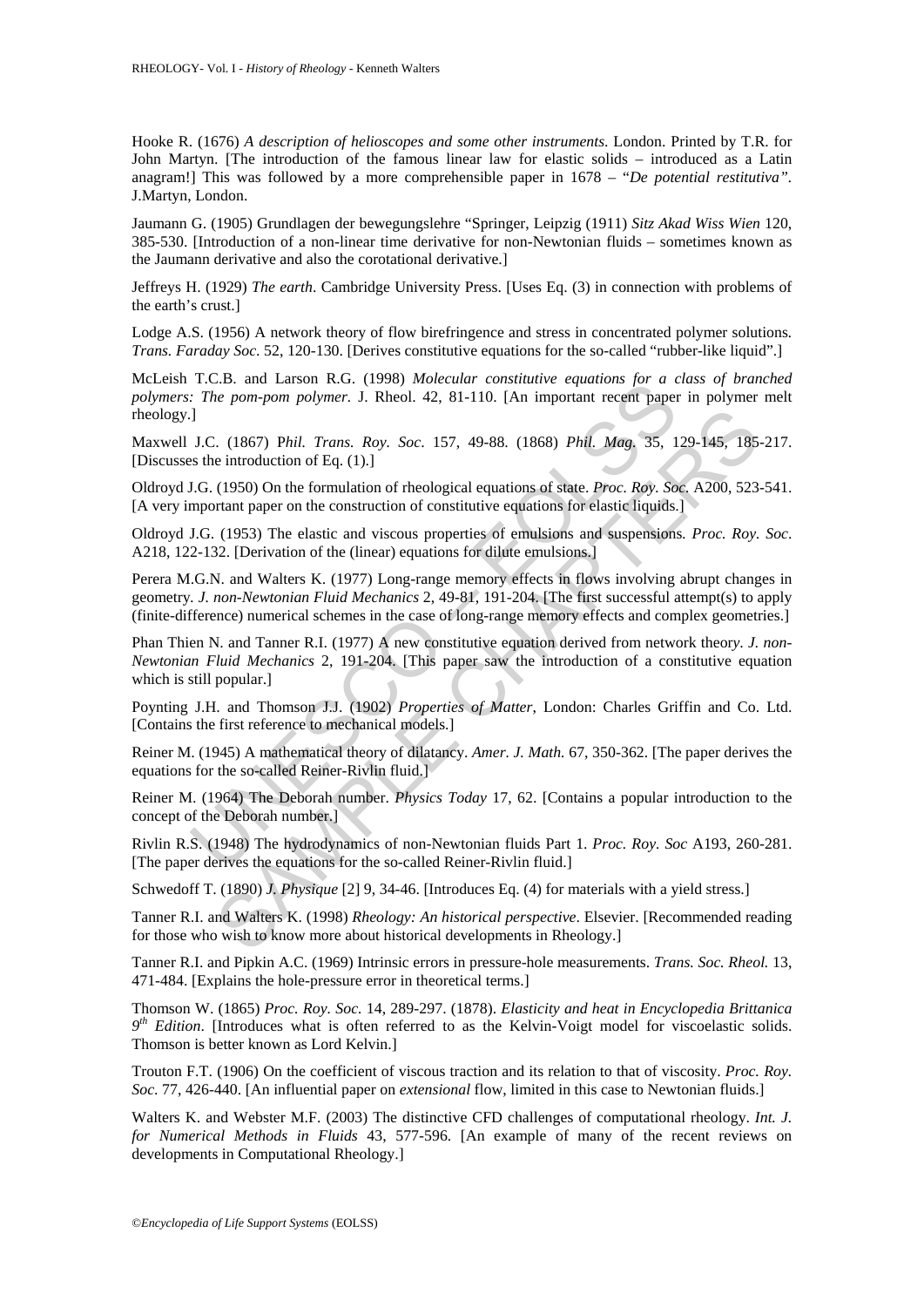Hooke R. (1676) *A description of helioscopes and some other instruments*. London. Printed by T.R. for John Martyn. [The introduction of the famous linear law for elastic solids – introduced as a Latin anagram!] This was followed by a more comprehensible paper in 1678 – "*De potential restitutiva".*  J.Martyn, London.

Jaumann G. (1905) Grundlagen der bewegungslehre "Springer, Leipzig (1911) *Sitz Akad Wiss Wien* 120, 385-530. [Introduction of a non-linear time derivative for non-Newtonian fluids – sometimes known as the Jaumann derivative and also the corotational derivative.]

Jeffreys H. (1929) *The earth*. Cambridge University Press. [Uses Eq. (3) in connection with problems of the earth's crust.]

Lodge A.S. (1956) A network theory of flow birefringence and stress in concentrated polymer solutions*. Trans. Faraday Soc*. 52, 120-130. [Derives constitutive equations for the so-called "rubber-like liquid".]

McLeish T.C.B. and Larson R.G. (1998) *Molecular constitutive equations for a class of branched polymers: The pom-pom polymer.* J. Rheol. 42, 81-110. [An important recent paper in polymer melt rheology.]

Maxwell J.C. (1867) P*hil. Trans. Roy. Soc*. 157, 49-88. (1868) *Phil. Mag.* 35, 129-145, 185-217. [Discusses the introduction of Eq. (1).]

Oldroyd J.G. (1950) On the formulation of rheological equations of state. *Proc. Roy. Soc.* A200, 523-541. [A very important paper on the construction of constitutive equations for elastic liquids.]

Oldroyd J.G. (1953) The elastic and viscous properties of emulsions and suspensions*. Proc. Roy. Soc*. A218, 122-132. [Derivation of the (linear) equations for dilute emulsions.]

1.2. and Laason K.O. (1996) *amotetian* consinuity equations for a control of the pom-pom polymer. J. Rheol. 42, 81-110. [An important recent paper J. C. (1867) *Phil. Trans. Roy. Soc.* 157, 49-88. (1868) *Phil. Mag.* 35, C. (1867) Phil. *Trans. Roy. Soc.* 157, 49-88. (1868) Phil. *Mag.* 35, 129-145, 185<br>e introduction of Eq. (1).]<br>(1950) On the formulation of rheological equations of state. *Proc. Roy. Soc.* A200, 523<br>trant paper on the c Perera M.G.N. and Walters K. (1977) Long-range memory effects in flows involving abrupt changes in geometry*. J. non-Newtonian Fluid Mechanics* 2, 49-81, 191-204. [The first successful attempt(s) to apply (finite-difference) numerical schemes in the case of long-range memory effects and complex geometries.]

Phan Thien N. and Tanner R.I. (1977) A new constitutive equation derived from network theor*y*. *J. non-Newtonian Fluid Mechanics* 2, 191-204. [This paper saw the introduction of a constitutive equation which is still popular.]

Poynting J.H. and Thomson J.J. (1902) *Properties of Matter*, London: Charles Griffin and Co. Ltd. [Contains the first reference to mechanical models.]

Reiner M. (1945) A mathematical theory of dilatancy. *Amer. J. Math.* 67, 350-362. [The paper derives the equations for the so-called Reiner-Rivlin fluid.]

Reiner M. (1964) The Deborah number. *Physics Today* 17, 62. [Contains a popular introduction to the concept of the Deborah number.]

Rivlin R.S. (1948) The hydrodynamics of non-Newtonian fluids Part 1. *Proc. Roy. Soc* A193, 260-281. [The paper derives the equations for the so-called Reiner-Rivlin fluid.]

Schwedoff T. (1890) *J. Physique* [2] 9, 34-46. [Introduces Eq. (4) for materials with a yield stress.]

Tanner R.I. and Walters K. (1998) *Rheology: An historical perspective*. Elsevier. [Recommended reading for those who wish to know more about historical developments in Rheology.]

Tanner R.I. and Pipkin A.C. (1969) Intrinsic errors in pressure-hole measurements. *Trans. Soc. Rheol.* 13, 471-484. [Explains the hole-pressure error in theoretical terms.]

Thomson W. (1865) *Proc. Roy. Soc.* 14, 289-297. (1878). *Elasticity and heat in Encyclopedia Brittanica*   $9<sup>th</sup>$  Edition. [Introduces what is often referred to as the Kelvin-Voigt model for viscoelastic solids. Thomson is better known as Lord Kelvin.]

Trouton F.T. (1906) On the coefficient of viscous traction and its relation to that of viscosity. *Proc. Roy. Soc*. 77, 426-440. [An influential paper on *extensional* flow, limited in this case to Newtonian fluids.]

Walters K. and Webster M.F. (2003) The distinctive CFD challenges of computational rheology. *Int. J. for Numerical Methods in Fluids* 43, 577-596. [An example of many of the recent reviews on developments in Computational Rheology.]